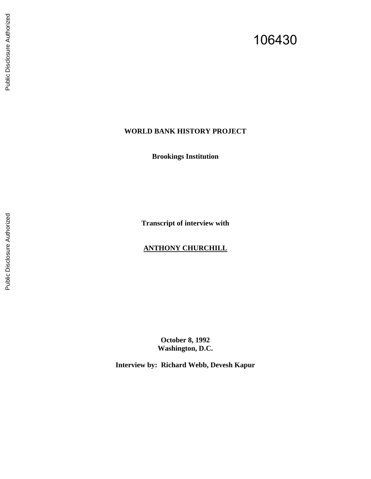# 106430

# **WORLD BANK HISTORY PROJECT**

**Brookings Institution** 

**Transcript of interview with** 

## **ANTHONY CHURCHILL**

**October 8, 1992 Washington, D.C.**

**Interview by: Richard Webb, Devesh Kapur**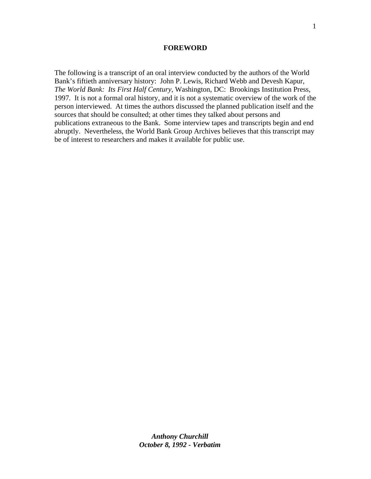#### **FOREWORD**

The following is a transcript of an oral interview conducted by the authors of the World Bank's fiftieth anniversary history: John P. Lewis, Richard Webb and Devesh Kapur, *The World Bank: Its First Half Century,* Washington, DC: Brookings Institution Press, 1997*.* It is not a formal oral history, and it is not a systematic overview of the work of the person interviewed. At times the authors discussed the planned publication itself and the sources that should be consulted; at other times they talked about persons and publications extraneous to the Bank. Some interview tapes and transcripts begin and end abruptly. Nevertheless, the World Bank Group Archives believes that this transcript may be of interest to researchers and makes it available for public use.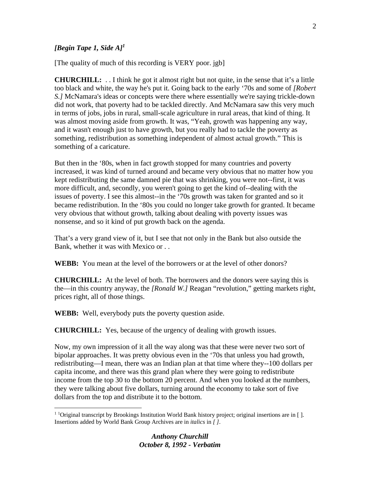## *[Begin Tape 1, Side A]<sup>1</sup>*

[The quality of much of this recording is VERY poor. jgb]

**CHURCHILL:** . . I think he got it almost right but not quite, in the sense that it's a little too black and white, the way he's put it. Going back to the early '70s and some of *[Robert S.]* McNamara's ideas or concepts were there where essentially we're saying trickle-down did not work, that poverty had to be tackled directly. And McNamara saw this very much in terms of jobs, jobs in rural, small-scale agriculture in rural areas, that kind of thing. It was almost moving aside from growth. It was, "Yeah, growth was happening any way, and it wasn't enough just to have growth, but you really had to tackle the poverty as something, redistribution as something independent of almost actual growth." This is something of a caricature.

But then in the '80s, when in fact growth stopped for many countries and poverty increased, it was kind of turned around and became very obvious that no matter how you kept redistributing the same damned pie that was shrinking, you were not--first, it was more difficult, and, secondly, you weren't going to get the kind of--dealing with the issues of poverty. I see this almost--in the '70s growth was taken for granted and so it became redistribution. In the '80s you could no longer take growth for granted. It became very obvious that without growth, talking about dealing with poverty issues was nonsense, and so it kind of put growth back on the agenda.

That's a very grand view of it, but I see that not only in the Bank but also outside the Bank, whether it was with Mexico or . .

**WEBB:** You mean at the level of the borrowers or at the level of other donors?

**CHURCHILL:** At the level of both. The borrowers and the donors were saying this is the—in this country anyway, the *[Ronald W.]* Reagan "revolution," getting markets right, prices right, all of those things.

**WEBB:** Well, everybody puts the poverty question aside.

1

**CHURCHILL:** Yes, because of the urgency of dealing with growth issues.

Now, my own impression of it all the way along was that these were never two sort of bipolar approaches. It was pretty obvious even in the '70s that unless you had growth, redistributing—I mean, there was an Indian plan at that time where they--100 dollars per capita income, and there was this grand plan where they were going to redistribute income from the top 30 to the bottom 20 percent. And when you looked at the numbers, they were talking about five dollars, turning around the economy to take sort of five dollars from the top and distribute it to the bottom.

<sup>&</sup>lt;sup>1</sup> <sup>1</sup>Original transcript by Brookings Institution World Bank history project; original insertions are in []. Insertions added by World Bank Group Archives are in *italics* in *[ ]*.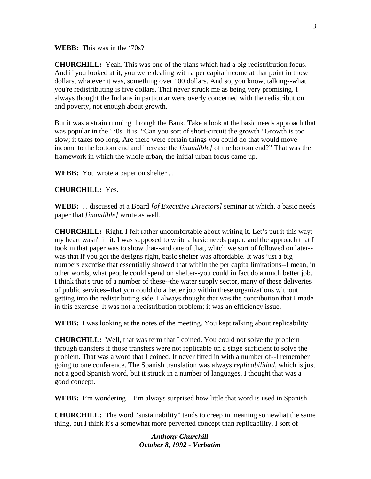**WEBB:** This was in the '70s?

**CHURCHILL:** Yeah. This was one of the plans which had a big redistribution focus. And if you looked at it, you were dealing with a per capita income at that point in those dollars, whatever it was, something over 100 dollars. And so, you know, talking--what you're redistributing is five dollars. That never struck me as being very promising. I always thought the Indians in particular were overly concerned with the redistribution and poverty, not enough about growth.

But it was a strain running through the Bank. Take a look at the basic needs approach that was popular in the '70s. It is: "Can you sort of short-circuit the growth? Growth is too slow; it takes too long. Are there were certain things you could do that would move income to the bottom end and increase the *[inaudible]* of the bottom end?" That was the framework in which the whole urban, the initial urban focus came up.

**WEBB:** You wrote a paper on shelter . .

**CHURCHILL:** Yes.

**WEBB:** . . discussed at a Board *[of Executive Directors]* seminar at which, a basic needs paper that *[inaudible]* wrote as well.

**CHURCHILL:** Right. I felt rather uncomfortable about writing it. Let's put it this way: my heart wasn't in it. I was supposed to write a basic needs paper, and the approach that I took in that paper was to show that--and one of that, which we sort of followed on later- was that if you got the designs right, basic shelter was affordable. It was just a big numbers exercise that essentially showed that within the per capita limitations--I mean, in other words, what people could spend on shelter--you could in fact do a much better job. I think that's true of a number of these--the water supply sector, many of these deliveries of public services--that you could do a better job within these organizations without getting into the redistributing side. I always thought that was the contribution that I made in this exercise. It was not a redistribution problem; it was an efficiency issue.

**WEBB:** I was looking at the notes of the meeting. You kept talking about replicability.

**CHURCHILL:** Well, that was term that I coined. You could not solve the problem through transfers if those transfers were not replicable on a stage sufficient to solve the problem. That was a word that I coined. It never fitted in with a number of--I remember going to one conference. The Spanish translation was always *replicabilidad*, which is just not a good Spanish word, but it struck in a number of languages. I thought that was a good concept.

**WEBB:** I'm wondering—I'm always surprised how little that word is used in Spanish.

**CHURCHILL:** The word "sustainability" tends to creep in meaning somewhat the same thing, but I think it's a somewhat more perverted concept than replicability. I sort of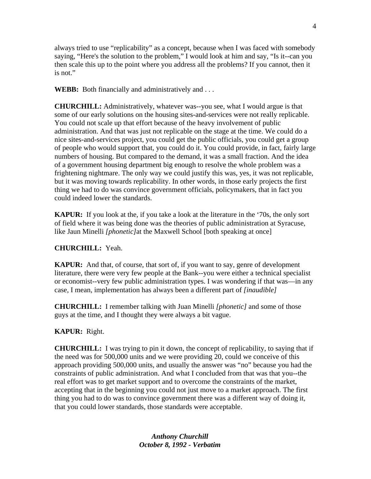always tried to use "replicability" as a concept, because when I was faced with somebody saying, "Here's the solution to the problem," I would look at him and say, "Is it--can you then scale this up to the point where you address all the problems? If you cannot, then it is not."

**WEBB:** Both financially and administratively and . . .

**CHURCHILL:** Administratively, whatever was--you see, what I would argue is that some of our early solutions on the housing sites-and-services were not really replicable. You could not scale up that effort because of the heavy involvement of public administration. And that was just not replicable on the stage at the time. We could do a nice sites-and-services project, you could get the public officials, you could get a group of people who would support that, you could do it. You could provide, in fact, fairly large numbers of housing. But compared to the demand, it was a small fraction. And the idea of a government housing department big enough to resolve the whole problem was a frightening nightmare. The only way we could justify this was, yes, it was not replicable, but it was moving towards replicability. In other words, in those early projects the first thing we had to do was convince government officials, policymakers, that in fact you could indeed lower the standards.

**KAPUR:** If you look at the, if you take a look at the literature in the '70s, the only sort of field where it was being done was the theories of public administration at Syracuse, like Jaun Minelli *[phonetic]*at the Maxwell School [both speaking at once]

## **CHURCHILL:** Yeah.

**KAPUR:** And that, of course, that sort of, if you want to say, genre of development literature, there were very few people at the Bank--you were either a technical specialist or economist--very few public administration types. I was wondering if that was—in any case, I mean, implementation has always been a different part of *[inaudible]*

**CHURCHILL:** I remember talking with Juan Minelli *[phonetic]* and some of those guys at the time, and I thought they were always a bit vague.

#### **KAPUR:** Right.

**CHURCHILL:** I was trying to pin it down, the concept of replicability, to saying that if the need was for 500,000 units and we were providing 20, could we conceive of this approach providing 500,000 units, and usually the answer was "no" because you had the constraints of public administration. And what I concluded from that was that you--the real effort was to get market support and to overcome the constraints of the market, accepting that in the beginning you could not just move to a market approach. The first thing you had to do was to convince government there was a different way of doing it, that you could lower standards, those standards were acceptable.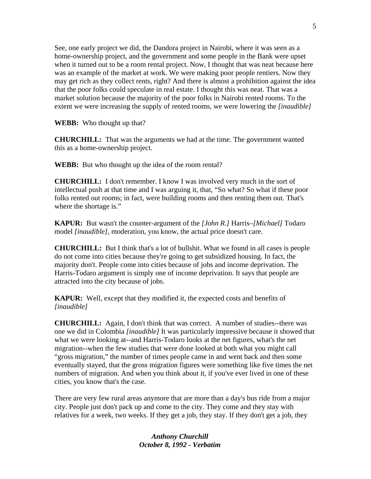See, one early project we did, the Dandora project in Nairobi, where it was seen as a home-ownership project, and the government and some people in the Bank were upset when it turned out to be a room rental project. Now, I thought that was neat because here was an example of the market at work. We were making poor people rentiers. Now they may get rich as they collect rents, right? And there is almost a prohibition against the idea that the poor folks could speculate in real estate. I thought this was neat. That was a market solution because the majority of the poor folks in Nairobi rented rooms. To the extent we were increasing the supply of rented rooms, we were lowering the *[inaudible]*

**WEBB:** Who thought up that?

**CHURCHILL:** That was the arguments we had at the time. The government wanted this as a home-ownership project.

**WEBB:** But who thought up the idea of the room rental?

**CHURCHILL:** I don't remember. I know I was involved very much in the sort of intellectual push at that time and I was arguing it, that, "So what? So what if these poor folks rented out rooms; in fact, were building rooms and then renting them out. That's where the shortage is."

**KAPUR:** But wasn't the counter-argument of the *[John R.]* Harris–*[Michael]* Todaro model *[inaudible]*, moderation, you know, the actual price doesn't care.

**CHURCHILL:** But I think that's a lot of bullshit. What we found in all cases is people do not come into cities because they're going to get subsidized housing. In fact, the majority don't. People come into cities because of jobs and income deprivation. The Harris-Todaro argument is simply one of income deprivation. It says that people are attracted into the city because of jobs.

**KAPUR:** Well, except that they modified it, the expected costs and benefits of *[inaudible]*

**CHURCHILL:** Again, I don't think that was correct. A number of studies--there was one we did in Colombia *[inaudible]* It was particularly impressive because it showed that what we were looking at--and Harris-Todaro looks at the net figures, what's the net migration--when the few studies that were done looked at both what you might call "gross migration," the number of times people came in and went back and then some eventually stayed, that the gross migration figures were something like five times the net numbers of migration. And when you think about it, if you've ever lived in one of these cities, you know that's the case.

There are very few rural areas anymore that are more than a day's bus ride from a major city. People just don't pack up and come to the city. They come and they stay with relatives for a week, two weeks. If they get a job, they stay. If they don't get a job, they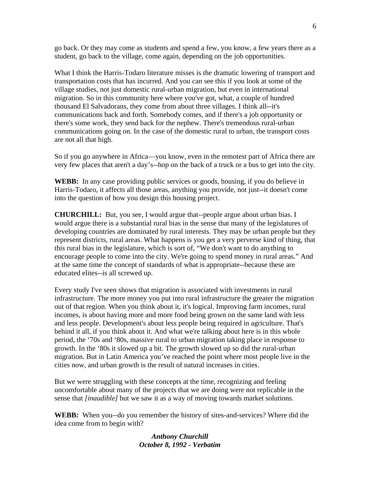go back. Or they may come as students and spend a few, you know, a few years there as a student, go back to the village, come again, depending on the job opportunities.

What I think the Harris-Todaro literature misses is the dramatic lowering of transport and transportation costs that has incurred. And you can see this if you look at some of the village studies, not just domestic rural-urban migration, but even in international migration. So in this community here where you've got, what, a couple of hundred thousand El Salvadorans, they come from about three villages. I think all--it's communications back and forth. Somebody comes, and if there's a job opportunity or there's some work, they send back for the nephew. There's tremendous rural-urban communications going on. In the case of the domestic rural to urban, the transport costs are not all that high.

So if you go anywhere in Africa—you know, even in the remotest part of Africa there are very few places that aren't a day's--hop on the back of a truck or a bus to get into the city.

**WEBB:** In any case providing public services or goods, housing, if you do believe in Harris-Todaro, it affects all those areas, anything you provide, not just--it doesn't come into the question of how you design this housing project.

**CHURCHILL:** But, you see, I would argue that--people argue about urban bias. I would argue there is a substantial rural bias in the sense that many of the legislatures of developing countries are dominated by rural interests. They may be urban people but they represent districts, rural areas. What happens is you get a very perverse kind of thing, that this rural bias in the legislature, which is sort of, "We don't want to do anything to encourage people to come into the city. We're going to spend money in rural areas." And at the same time the concept of standards of what is appropriate--because these are educated elites--is all screwed up.

Every study I've seen shows that migration is associated with investments in rural infrastructure. The more money you put into rural infrastructure the greater the migration out of that region. When you think about it, it's logical. Improving farm incomes, rural incomes, is about having more and more food being grown on the same land with less and less people. Development's about less people being required in agriculture. That's behind it all, if you think about it. And what we're talking about here is in this whole period, the '70s and '80s, massive rural to urban migration taking place in response to growth. In the '80s it slowed up a bit. The growth slowed up so did the rural-urban migration. But in Latin America you've reached the point where most people live in the cities now, and urban growth is the result of natural increases in cities.

But we were struggling with these concepts at the time, recognizing and feeling uncomfortable about many of the projects that we are doing were not replicable in the sense that *[inaudible]* but we saw it as a way of moving towards market solutions.

**WEBB:** When you--do you remember the history of sites-and-services? Where did the idea come from to begin with?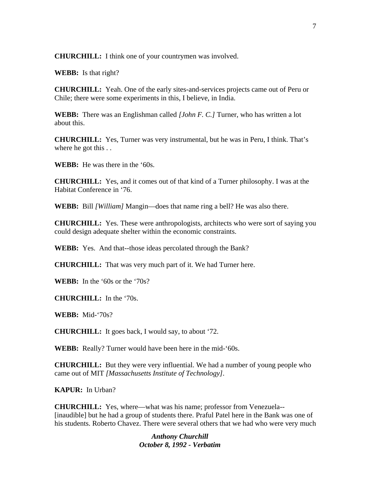**CHURCHILL:** I think one of your countrymen was involved.

**WEBB:** Is that right?

**CHURCHILL:** Yeah. One of the early sites-and-services projects came out of Peru or Chile; there were some experiments in this, I believe, in India.

**WEBB:** There was an Englishman called *[John F. C.]* Turner, who has written a lot about this.

**CHURCHILL:** Yes, Turner was very instrumental, but he was in Peru, I think. That's where he got this . .

**WEBB:** He was there in the '60s.

**CHURCHILL:** Yes, and it comes out of that kind of a Turner philosophy. I was at the Habitat Conference in '76.

**WEBB:** Bill *[William]* Mangin—does that name ring a bell? He was also there.

**CHURCHILL:** Yes. These were anthropologists, architects who were sort of saying you could design adequate shelter within the economic constraints.

**WEBB:** Yes. And that--those ideas percolated through the Bank?

**CHURCHILL:** That was very much part of it. We had Turner here.

**WEBB:** In the '60s or the '70s?

**CHURCHILL:** In the '70s.

**WEBB:** Mid-'70s?

**CHURCHILL:** It goes back, I would say, to about '72.

**WEBB:** Really? Turner would have been here in the mid-'60s.

**CHURCHILL:** But they were very influential. We had a number of young people who came out of MIT *[Massachusetts Institute of Technology]*.

**KAPUR:** In Urban?

**CHURCHILL:** Yes, where—what was his name; professor from Venezuela-- [inaudible] but he had a group of students there. Praful Patel here in the Bank was one of his students. Roberto Chavez. There were several others that we had who were very much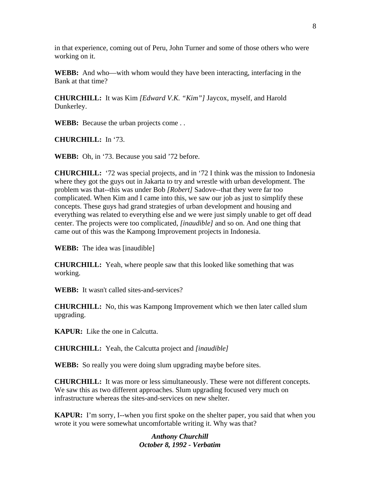in that experience, coming out of Peru, John Turner and some of those others who were working on it.

**WEBB:** And who—with whom would they have been interacting, interfacing in the Bank at that time?

**CHURCHILL:** It was Kim *[Edward V.K. "Kim"]* Jaycox, myself, and Harold Dunkerley.

**WEBB:** Because the urban projects come . .

**CHURCHILL:** In '73.

**WEBB:** Oh, in '73. Because you said '72 before.

**CHURCHILL:** '72 was special projects, and in '72 I think was the mission to Indonesia where they got the guys out in Jakarta to try and wrestle with urban development. The problem was that--this was under Bob *[Robert]* Sadove--that they were far too complicated. When Kim and I came into this, we saw our job as just to simplify these concepts. These guys had grand strategies of urban development and housing and everything was related to everything else and we were just simply unable to get off dead center. The projects were too complicated, *[inaudible]* and so on. And one thing that came out of this was the Kampong Improvement projects in Indonesia.

**WEBB:** The idea was [inaudible]

**CHURCHILL:** Yeah, where people saw that this looked like something that was working.

**WEBB:** It wasn't called sites-and-services?

**CHURCHILL:** No, this was Kampong Improvement which we then later called slum upgrading.

**KAPUR:** Like the one in Calcutta.

**CHURCHILL:** Yeah, the Calcutta project and *[inaudible]*

**WEBB:** So really you were doing slum upgrading maybe before sites.

**CHURCHILL:** It was more or less simultaneously. These were not different concepts. We saw this as two different approaches. Slum upgrading focused very much on infrastructure whereas the sites-and-services on new shelter.

**KAPUR:** I'm sorry, I--when you first spoke on the shelter paper, you said that when you wrote it you were somewhat uncomfortable writing it. Why was that?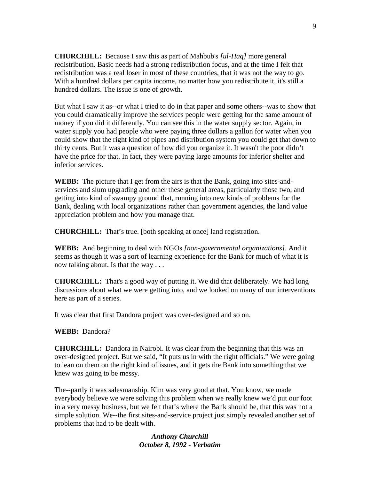**CHURCHILL:** Because I saw this as part of Mahbub's *[ul-Haq]* more general redistribution. Basic needs had a strong redistribution focus, and at the time I felt that redistribution was a real loser in most of these countries, that it was not the way to go. With a hundred dollars per capita income, no matter how you redistribute it, it's still a hundred dollars. The issue is one of growth.

But what I saw it as--or what I tried to do in that paper and some others--was to show that you could dramatically improve the services people were getting for the same amount of money if you did it differently. You can see this in the water supply sector. Again, in water supply you had people who were paying three dollars a gallon for water when you could show that the right kind of pipes and distribution system you could get that down to thirty cents. But it was a question of how did you organize it. It wasn't the poor didn't have the price for that. In fact, they were paying large amounts for inferior shelter and inferior services.

**WEBB:** The picture that I get from the airs is that the Bank, going into sites-andservices and slum upgrading and other these general areas, particularly those two, and getting into kind of swampy ground that, running into new kinds of problems for the Bank, dealing with local organizations rather than government agencies, the land value appreciation problem and how you manage that.

**CHURCHILL:** That's true. [both speaking at once] land registration.

**WEBB:** And beginning to deal with NGOs *[non-governmental organizations]*. And it seems as though it was a sort of learning experience for the Bank for much of what it is now talking about. Is that the way . . .

**CHURCHILL:** That's a good way of putting it. We did that deliberately. We had long discussions about what we were getting into, and we looked on many of our interventions here as part of a series.

It was clear that first Dandora project was over-designed and so on.

#### **WEBB:** Dandora?

**CHURCHILL:** Dandora in Nairobi. It was clear from the beginning that this was an over-designed project. But we said, "It puts us in with the right officials." We were going to lean on them on the right kind of issues, and it gets the Bank into something that we knew was going to be messy.

The--partly it was salesmanship. Kim was very good at that. You know, we made everybody believe we were solving this problem when we really knew we'd put our foot in a very messy business, but we felt that's where the Bank should be, that this was not a simple solution. We--the first sites-and-service project just simply revealed another set of problems that had to be dealt with.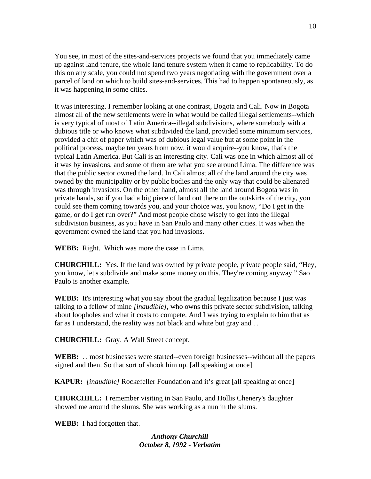You see, in most of the sites-and-services projects we found that you immediately came up against land tenure, the whole land tenure system when it came to replicability. To do this on any scale, you could not spend two years negotiating with the government over a parcel of land on which to build sites-and-services. This had to happen spontaneously, as it was happening in some cities.

It was interesting. I remember looking at one contrast, Bogota and Cali. Now in Bogota almost all of the new settlements were in what would be called illegal settlements--which is very typical of most of Latin America--illegal subdivisions, where somebody with a dubious title or who knows what subdivided the land, provided some minimum services, provided a chit of paper which was of dubious legal value but at some point in the political process, maybe ten years from now, it would acquire--you know, that's the typical Latin America. But Cali is an interesting city. Cali was one in which almost all of it was by invasions, and some of them are what you see around Lima. The difference was that the public sector owned the land. In Cali almost all of the land around the city was owned by the municipality or by public bodies and the only way that could be alienated was through invasions. On the other hand, almost all the land around Bogota was in private hands, so if you had a big piece of land out there on the outskirts of the city, you could see them coming towards you, and your choice was, you know, "Do I get in the game, or do I get run over?" And most people chose wisely to get into the illegal subdivision business, as you have in San Paulo and many other cities. It was when the government owned the land that you had invasions.

**WEBB:** Right. Which was more the case in Lima.

**CHURCHILL:** Yes. If the land was owned by private people, private people said, "Hey, you know, let's subdivide and make some money on this. They're coming anyway." Sao Paulo is another example.

**WEBB:** It's interesting what you say about the gradual legalization because I just was talking to a fellow of mine *[inaudible]*, who owns this private sector subdivision, talking about loopholes and what it costs to compete. And I was trying to explain to him that as far as I understand, the reality was not black and white but gray and . .

**CHURCHILL:** Gray. A Wall Street concept.

**WEBB:** . . most businesses were started--even foreign businesses--without all the papers signed and then. So that sort of shook him up. [all speaking at once]

**KAPUR:** *[inaudible]* Rockefeller Foundation and it's great [all speaking at once]

**CHURCHILL:** I remember visiting in San Paulo, and Hollis Chenery's daughter showed me around the slums. She was working as a nun in the slums.

**WEBB:** I had forgotten that.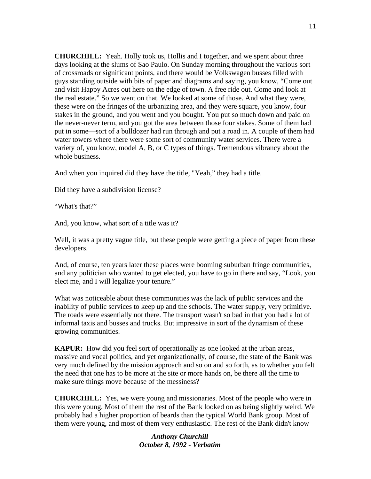**CHURCHILL:** Yeah. Holly took us, Hollis and I together, and we spent about three days looking at the slums of Sao Paulo. On Sunday morning throughout the various sort of crossroads or significant points, and there would be Volkswagen busses filled with guys standing outside with bits of paper and diagrams and saying, you know, "Come out and visit Happy Acres out here on the edge of town. A free ride out. Come and look at the real estate." So we went on that. We looked at some of those. And what they were, these were on the fringes of the urbanizing area, and they were square, you know, four stakes in the ground, and you went and you bought. You put so much down and paid on the never-never term, and you got the area between those four stakes. Some of them had put in some—sort of a bulldozer had run through and put a road in. A couple of them had water towers where there were some sort of community water services. There were a variety of, you know, model A, B, or C types of things. Tremendous vibrancy about the whole business.

And when you inquired did they have the title, "Yeah," they had a title.

Did they have a subdivision license?

"What's that?"

And, you know, what sort of a title was it?

Well, it was a pretty vague title, but these people were getting a piece of paper from these developers.

And, of course, ten years later these places were booming suburban fringe communities, and any politician who wanted to get elected, you have to go in there and say, "Look, you elect me, and I will legalize your tenure."

What was noticeable about these communities was the lack of public services and the inability of public services to keep up and the schools. The water supply, very primitive. The roads were essentially not there. The transport wasn't so bad in that you had a lot of informal taxis and busses and trucks. But impressive in sort of the dynamism of these growing communities.

**KAPUR:** How did you feel sort of operationally as one looked at the urban areas, massive and vocal politics, and yet organizationally, of course, the state of the Bank was very much defined by the mission approach and so on and so forth, as to whether you felt the need that one has to be more at the site or more hands on, be there all the time to make sure things move because of the messiness?

**CHURCHILL:** Yes, we were young and missionaries. Most of the people who were in this were young. Most of them the rest of the Bank looked on as being slightly weird. We probably had a higher proportion of beards than the typical World Bank group. Most of them were young, and most of them very enthusiastic. The rest of the Bank didn't know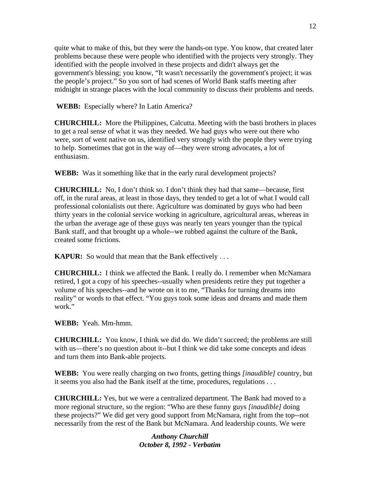quite what to make of this, but they were the hands-on type. You know, that created later problems because these were people who identified with the projects very strongly. They identified with the people involved in these projects and didn't always get the government's blessing; you know, "It wasn't necessarily the government's project; it was the people's project." So you sort of had scenes of World Bank staffs meeting after midnight in strange places with the local community to discuss their problems and needs.

**WEBB:** Especially where? In Latin America?

**CHURCHILL:** More the Philippines, Calcutta. Meeting with the basti brothers in places to get a real sense of what it was they needed. We had guys who were out there who were, sort of went native on us, identified very strongly with the people they were trying to help. Sometimes that got in the way of—they were strong advocates, a lot of enthusiasm.

**WEBB:** Was it something like that in the early rural development projects?

**CHURCHILL:** No, I don't think so. I don't think they had that same—because, first off, in the rural areas, at least in those days, they tended to get a lot of what I would call professional colonialists out there. Agriculture was dominated by guys who had been thirty years in the colonial service working in agriculture, agricultural areas, whereas in the urban the average age of these guys was nearly ten years younger than the typical Bank staff, and that brought up a whole--we rubbed against the culture of the Bank, created some frictions.

**KAPUR:** So would that mean that the Bank effectively ...

**CHURCHILL:** I think we affected the Bank. I really do. I remember when McNamara retired, I got a copy of his speeches--usually when presidents retire they put together a volume of his speeches--and he wrote on it to me, "Thanks for turning dreams into reality" or words to that effect. "You guys took some ideas and dreams and made them work."

**WEBB:** Yeah. Mm-hmm.

**CHURCHILL:** You know, I think we did do. We didn't succeed; the problems are still with us—there's no question about it--but I think we did take some concepts and ideas and turn them into Bank-able projects.

**WEBB:** You were really charging on two fronts, getting things *[inaudible]* country, but it seems you also had the Bank itself at the time, procedures, regulations . . .

**CHURCHILL:** Yes, but we were a centralized department. The Bank had moved to a more regional structure, so the region: "Who are these funny guys *[inaudible]* doing these projects?" We did get very good support from McNamara, right from the top--not necessarily from the rest of the Bank but McNamara. And leadership counts. We were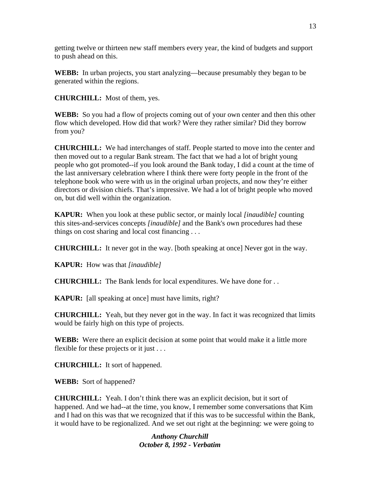getting twelve or thirteen new staff members every year, the kind of budgets and support to push ahead on this.

**WEBB:** In urban projects, you start analyzing—because presumably they began to be generated within the regions.

**CHURCHILL:** Most of them, yes.

**WEBB:** So you had a flow of projects coming out of your own center and then this other flow which developed. How did that work? Were they rather similar? Did they borrow from you?

**CHURCHILL:** We had interchanges of staff. People started to move into the center and then moved out to a regular Bank stream. The fact that we had a lot of bright young people who got promoted--if you look around the Bank today, I did a count at the time of the last anniversary celebration where I think there were forty people in the front of the telephone book who were with us in the original urban projects, and now they're either directors or division chiefs. That's impressive. We had a lot of bright people who moved on, but did well within the organization.

**KAPUR:** When you look at these public sector, or mainly local *[inaudible]* counting this sites-and-services concepts *[inaudible]* and the Bank's own procedures had these things on cost sharing and local cost financing . . .

**CHURCHILL:** It never got in the way. [both speaking at once] Never got in the way.

**KAPUR:** How was that *[inaudible]*

**CHURCHILL:** The Bank lends for local expenditures. We have done for . .

**KAPUR:** [all speaking at once] must have limits, right?

**CHURCHILL:** Yeah, but they never got in the way. In fact it was recognized that limits would be fairly high on this type of projects.

**WEBB:** Were there an explicit decision at some point that would make it a little more flexible for these projects or it just . . .

**CHURCHILL:** It sort of happened.

**WEBB:** Sort of happened?

**CHURCHILL:** Yeah. I don't think there was an explicit decision, but it sort of happened. And we had--at the time, you know, I remember some conversations that Kim and I had on this was that we recognized that if this was to be successful within the Bank, it would have to be regionalized. And we set out right at the beginning: we were going to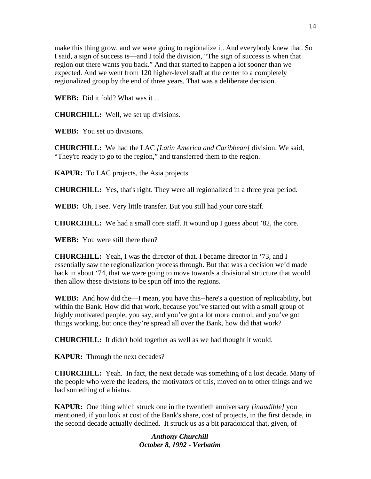make this thing grow, and we were going to regionalize it. And everybody knew that. So I said, a sign of success is—and I told the division, "The sign of success is when that region out there wants you back." And that started to happen a lot sooner than we expected. And we went from 120 higher-level staff at the center to a completely regionalized group by the end of three years. That was a deliberate decision.

**WEBB:** Did it fold? What was it . .

**CHURCHILL:** Well, we set up divisions.

**WEBB:** You set up divisions.

**CHURCHILL:** We had the LAC *[Latin America and Caribbean]* division. We said, "They're ready to go to the region," and transferred them to the region.

**KAPUR:** To LAC projects, the Asia projects.

**CHURCHILL:** Yes, that's right. They were all regionalized in a three year period.

**WEBB:** Oh, I see. Very little transfer. But you still had your core staff.

**CHURCHILL:** We had a small core staff. It wound up I guess about '82, the core.

**WEBB:** You were still there then?

**CHURCHILL:** Yeah, I was the director of that. I became director in '73, and I essentially saw the regionalization process through. But that was a decision we'd made back in about '74, that we were going to move towards a divisional structure that would then allow these divisions to be spun off into the regions.

**WEBB:** And how did the—I mean, you have this--here's a question of replicability, but within the Bank. How did that work, because you've started out with a small group of highly motivated people, you say, and you've got a lot more control, and you've got things working, but once they're spread all over the Bank, how did that work?

**CHURCHILL:** It didn't hold together as well as we had thought it would.

**KAPUR:** Through the next decades?

**CHURCHILL:** Yeah. In fact, the next decade was something of a lost decade. Many of the people who were the leaders, the motivators of this, moved on to other things and we had something of a hiatus.

**KAPUR:** One thing which struck one in the twentieth anniversary *[inaudible]* you mentioned, if you look at cost of the Bank's share, cost of projects, in the first decade, in the second decade actually declined. It struck us as a bit paradoxical that, given, of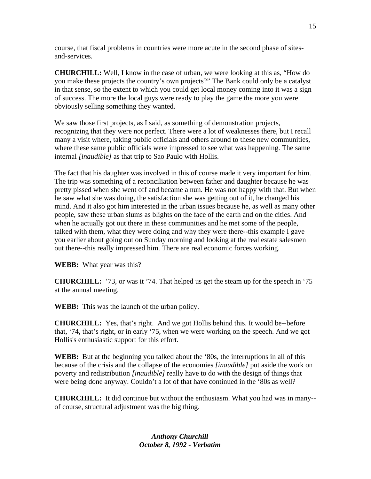course, that fiscal problems in countries were more acute in the second phase of sitesand-services.

**CHURCHILL:** Well, I know in the case of urban, we were looking at this as, "How do you make these projects the country's own projects?" The Bank could only be a catalyst in that sense, so the extent to which you could get local money coming into it was a sign of success. The more the local guys were ready to play the game the more you were obviously selling something they wanted.

We saw those first projects, as I said, as something of demonstration projects, recognizing that they were not perfect. There were a lot of weaknesses there, but I recall many a visit where, taking public officials and others around to these new communities, where these same public officials were impressed to see what was happening. The same internal *[inaudible]* as that trip to Sao Paulo with Hollis.

The fact that his daughter was involved in this of course made it very important for him. The trip was something of a reconciliation between father and daughter because he was pretty pissed when she went off and became a nun. He was not happy with that. But when he saw what she was doing, the satisfaction she was getting out of it, he changed his mind. And it also got him interested in the urban issues because he, as well as many other people, saw these urban slums as blights on the face of the earth and on the cities. And when he actually got out there in these communities and he met some of the people, talked with them, what they were doing and why they were there--this example I gave you earlier about going out on Sunday morning and looking at the real estate salesmen out there--this really impressed him. There are real economic forces working.

**WEBB:** What year was this?

**CHURCHILL:** '73, or was it '74. That helped us get the steam up for the speech in '75 at the annual meeting.

**WEBB:** This was the launch of the urban policy.

**CHURCHILL:** Yes, that's right. And we got Hollis behind this. It would be--before that, '74, that's right, or in early '75, when we were working on the speech. And we got Hollis's enthusiastic support for this effort.

**WEBB:** But at the beginning you talked about the '80s, the interruptions in all of this because of the crisis and the collapse of the economies *[inaudible]* put aside the work on poverty and redistribution *[inaudible]* really have to do with the design of things that were being done anyway. Couldn't a lot of that have continued in the '80s as well?

**CHURCHILL:** It did continue but without the enthusiasm. What you had was in many- of course, structural adjustment was the big thing.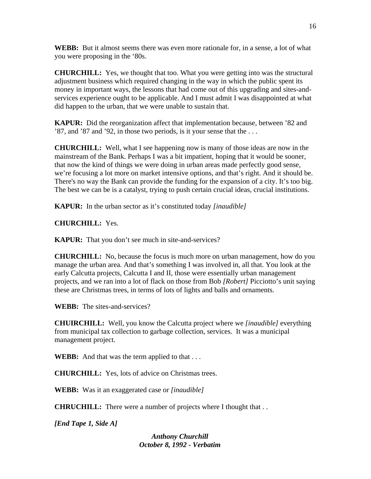**WEBB:** But it almost seems there was even more rationale for, in a sense, a lot of what you were proposing in the '80s.

**CHURCHILL:** Yes, we thought that too. What you were getting into was the structural adjustment business which required changing in the way in which the public spent its money in important ways, the lessons that had come out of this upgrading and sites-andservices experience ought to be applicable. And I must admit I was disappointed at what did happen to the urban, that we were unable to sustain that.

**KAPUR:** Did the reorganization affect that implementation because, between '82 and '87, and '87 and '92, in those two periods, is it your sense that the . . .

**CHURCHILL:** Well, what I see happening now is many of those ideas are now in the mainstream of the Bank. Perhaps I was a bit impatient, hoping that it would be sooner, that now the kind of things we were doing in urban areas made perfectly good sense, we're focusing a lot more on market intensive options, and that's right. And it should be. There's no way the Bank can provide the funding for the expansion of a city. It's too big. The best we can be is a catalyst, trying to push certain crucial ideas, crucial institutions.

**KAPUR:** In the urban sector as it's constituted today *[inaudible]* 

**CHURCHILL:** Yes.

**KAPUR:** That you don't see much in site-and-services?

**CHURCHILL:** No, because the focus is much more on urban management, how do you manage the urban area. And that's something I was involved in, all that. You look at the early Calcutta projects, Calcutta I and II, those were essentially urban management projects, and we ran into a lot of flack on those from Bob *[Robert]* Picciotto's unit saying these are Christmas trees, in terms of lots of lights and balls and ornaments.

**WEBB:** The sites-and-services?

**CHUIRCHILL:** Well, you know the Calcutta project where we *[inaudible]* everything from municipal tax collection to garbage collection, services. It was a municipal management project.

**WEBB:** And that was the term applied to that . . .

**CHURCHILL:** Yes, lots of advice on Christmas trees.

**WEBB:** Was it an exaggerated case or *[inaudible]* 

**CHRUCHILL:** There were a number of projects where I thought that . .

*[End Tape 1, Side A]*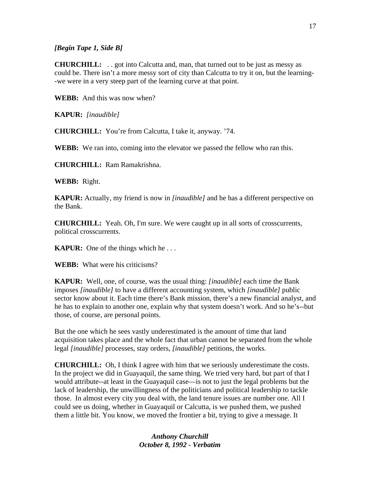### *[Begin Tape 1, Side B]*

**CHURCHILL:** . . got into Calcutta and, man, that turned out to be just as messy as could be. There isn't a more messy sort of city than Calcutta to try it on, but the learning- -we were in a very steep part of the learning curve at that point.

**WEBB:** And this was now when?

**KAPUR:** *[inaudible]* 

**CHURCHILL:** You're from Calcutta, I take it, anyway. '74.

**WEBB:** We ran into, coming into the elevator we passed the fellow who ran this.

**CHURCHILL:** Ram Ramakrishna.

**WEBB:** Right.

**KAPUR:** Actually, my friend is now in *[inaudible]* and he has a different perspective on the Bank.

**CHURCHILL:** Yeah. Oh, I'm sure. We were caught up in all sorts of crosscurrents, political crosscurrents.

**KAPUR:** One of the things which he . . .

**WEBB:** What were his criticisms?

**KAPUR:** Well, one, of course, was the usual thing: *[inaudible]* each time the Bank imposes *[inaudible]* to have a different accounting system, which *[inaudible]* public sector know about it. Each time there's Bank mission, there's a new financial analyst, and he has to explain to another one, explain why that system doesn't work. And so he's--but those, of course, are personal points.

But the one which he sees vastly underestimated is the amount of time that land acquisition takes place and the whole fact that urban cannot be separated from the whole legal *[inaudible]* processes, stay orders, *[inaudible]* petitions, the works.

**CHURCHILL:** Oh, I think I agree with him that we seriously underestimate the costs. In the project we did in Guayaquil, the same thing. We tried very hard, but part of that I would attribute--at least in the Guayaquil case—is not to just the legal problems but the lack of leadership, the unwillingness of the politicians and political leadership to tackle those. In almost every city you deal with, the land tenure issues are number one. All I could see us doing, whether in Guayaquil or Calcutta, is we pushed them, we pushed them a little bit. You know, we moved the frontier a bit, trying to give a message. It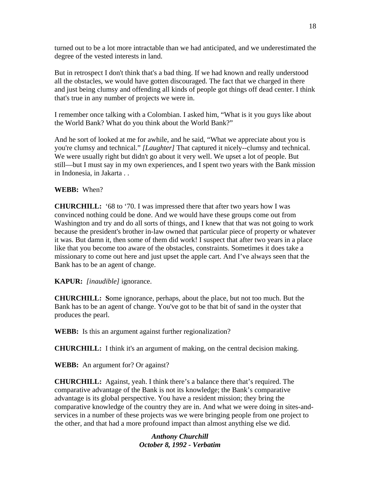turned out to be a lot more intractable than we had anticipated, and we underestimated the degree of the vested interests in land.

But in retrospect I don't think that's a bad thing. If we had known and really understood all the obstacles, we would have gotten discouraged. The fact that we charged in there and just being clumsy and offending all kinds of people got things off dead center. I think that's true in any number of projects we were in.

I remember once talking with a Colombian. I asked him, "What is it you guys like about the World Bank? What do you think about the World Bank?"

And he sort of looked at me for awhile, and he said, "What we appreciate about you is you're clumsy and technical." *[Laughter]* That captured it nicely--clumsy and technical. We were usually right but didn't go about it very well. We upset a lot of people. But still—but I must say in my own experiences, and I spent two years with the Bank mission in Indonesia, in Jakarta . .

## **WEBB:** When?

**CHURCHILL:** '68 to '70. I was impressed there that after two years how I was convinced nothing could be done. And we would have these groups come out from Washington and try and do all sorts of things, and I knew that that was not going to work because the president's brother in-law owned that particular piece of property or whatever it was. But damn it, then some of them did work! I suspect that after two years in a place like that you become too aware of the obstacles, constraints. Sometimes it does take a missionary to come out here and just upset the apple cart. And I've always seen that the Bank has to be an agent of change.

## **KAPUR:** *[inaudible]* ignorance.

**CHURCHILL: S**ome ignorance, perhaps, about the place, but not too much. But the Bank has to be an agent of change. You've got to be that bit of sand in the oyster that produces the pearl.

**WEBB:** Is this an argument against further regionalization?

**CHURCHILL:** I think it's an argument of making, on the central decision making.

**WEBB:** An argument for? Or against?

**CHURCHILL:** Against, yeah. I think there's a balance there that's required. The comparative advantage of the Bank is not its knowledge; the Bank's comparative advantage is its global perspective. You have a resident mission; they bring the comparative knowledge of the country they are in. And what we were doing in sites-andservices in a number of these projects was we were bringing people from one project to the other, and that had a more profound impact than almost anything else we did.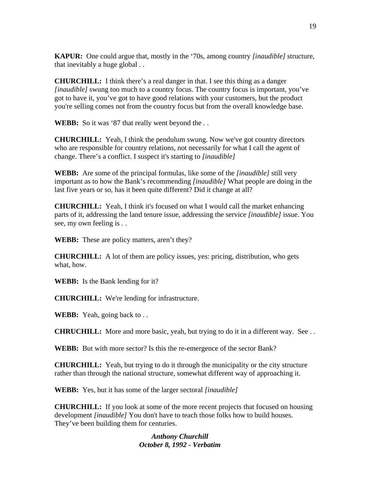**KAPUR:** One could argue that, mostly in the '70s, among country *[inaudible]* structure, that inevitably a huge global . .

**CHURCHILL:** I think there's a real danger in that. I see this thing as a danger *[inaudible]* swung too much to a country focus. The country focus is important, you've got to have it, you've got to have good relations with your customers, but the product you're selling comes not from the country focus but from the overall knowledge base.

**WEBB:** So it was '87 that really went beyond the ...

**CHURCHILL:** Yeah, I think the pendulum swung. Now we've got country directors who are responsible for country relations, not necessarily for what I call the agent of change. There's a conflict. I suspect it's starting to *[inaudible]*

**WEBB:** Are some of the principal formulas, like some of the *[inaudible]* still very important as to how the Bank's recommending *[inaudible]* What people are doing in the last five years or so, has it been quite different? Did it change at all?

**CHURCHILL:** Yeah, I think it's focused on what I would call the market enhancing parts of it, addressing the land tenure issue, addressing the service *[inaudible]* issue. You see, my own feeling is . .

**WEBB:** These are policy matters, aren't they?

**CHURCHILL:** A lot of them are policy issues, yes: pricing, distribution, who gets what, how.

**WEBB:** Is the Bank lending for it?

**CHURCHILL:** We're lending for infrastructure.

**WEBB:** Yeah, going back to . .

**CHRUCHILL:** More and more basic, yeah, but trying to do it in a different way. See . .

**WEBB:** But with more sector? Is this the re-emergence of the sector Bank?

**CHURCHILL:** Yeah, but trying to do it through the municipality or the city structure rather than through the national structure, somewhat different way of approaching it.

**WEBB:** Yes, but it has some of the larger sectoral *[inaudible]*

**CHURCHILL:** If you look at some of the more recent projects that focused on housing development *[inaudible]* You don't have to teach those folks how to build houses. They've been building them for centuries.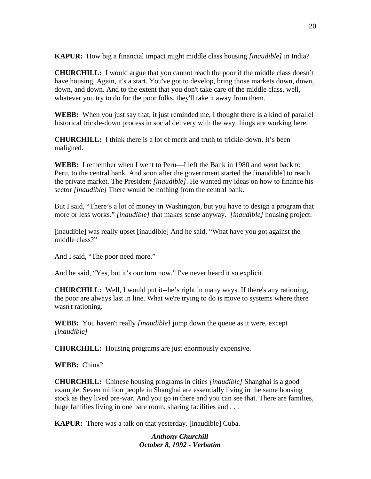**KAPUR:** How big a financial impact might middle class housing *[inaudible]* in India?

**CHURCHILL:** I would argue that you cannot reach the poor if the middle class doesn't have housing. Again, it's a start. You've got to develop, bring those markets down, down, down, and down. And to the extent that you don't take care of the middle class, well, whatever you try to do for the poor folks, they'll take it away from them.

**WEBB:** When you just say that, it just reminded me, I thought there is a kind of parallel historical trickle-down process in social delivery with the way things are working here.

**CHURCHILL:** I think there is a lot of merit and truth to trickle-down. It's been maligned.

**WEBB:** I remember when I went to Peru—I left the Bank in 1980 and went back to Peru, to the central bank. And soon after the government started the [inaudible] to reach the private market. The President *[inaudible]*. He wanted my ideas on how to finance his sector *[inaudible]* There would be nothing from the central bank.

But I said, "There's a lot of money in Washington, but you have to design a program that more or less works." *[inaudible]* that makes sense anyway. *[inaudible]* housing project.

[inaudible] was really upset [inaudible] And he said, "What have you got against the middle class?"

And I said, "The poor need more."

And he said, "Yes, but it's our turn now." I've never heard it so explicit.

**CHURCHILL:** Well, I would put it--he's right in many ways. If there's any rationing, the poor are always last in line. What we're trying to do is move to systems where there wasn't rationing.

**WEBB:** You haven't really *[inaudible]* jump down the queue as it were, except *[inaudible]* 

**CHURCHILL:** Housing programs are just enormously expensive.

**WEBB:** China?

**CHURCHILL:** Chinese housing programs in cities *[inaudible]* Shanghai is a good example. Seven million people in Shanghai are essentially living in the same housing stock as they lived pre-war. And you go in there and you can see that. There are families, huge families living in one bare room, sharing facilities and ...

**KAPUR:** There was a talk on that yesterday. [inaudible] Cuba.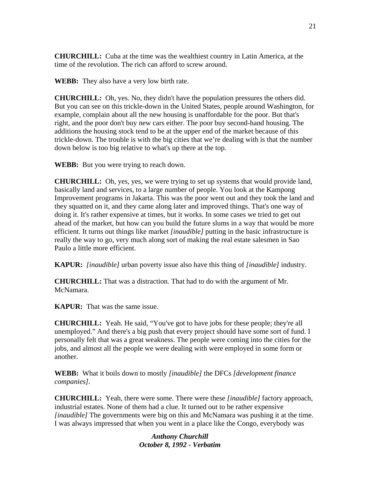**CHURCHILL:** Cuba at the time was the wealthiest country in Latin America, at the time of the revolution. The rich can afford to screw around.

**WEBB:** They also have a very low birth rate.

**CHURCHILL:** Oh, yes. No, they didn't have the population pressures the others did. But you can see on this trickle-down in the United States, people around Washington, for example, complain about all the new housing is unaffordable for the poor. But that's right, and the poor don't buy new cars either. The poor buy second-hand housing. The additions the housing stock tend to be at the upper end of the market because of this trickle-down. The trouble is with the big cities that we're dealing with is that the number down below is too big relative to what's up there at the top.

**WEBB:** But you were trying to reach down.

**CHURCHILL:** Oh, yes, yes, we were trying to set up systems that would provide land, basically land and services, to a large number of people. You look at the Kampong Improvement programs in Jakarta. This was the poor went out and they took the land and they squatted on it, and they came along later and improved things. That's one way of doing it. It's rather expensive at times, but it works. In some cases we tried to get out ahead of the market, but how can you build the future slums in a way that would be more efficient. It turns out things like market *[inaudible]* putting in the basic infrastructure is really the way to go, very much along sort of making the real estate salesmen in Sao Paulo a little more efficient.

**KAPUR:** *[inaudible]* urban poverty issue also have this thing of *[inaudible]* industry.

**CHURCHILL:** That was a distraction. That had to do with the argument of Mr. McNamara.

**KAPUR:** That was the same issue.

**CHURCHILL:** Yeah. He said, "You've got to have jobs for these people; they're all unemployed." And there's a big push that every project should have some sort of fund. I personally felt that was a great weakness. The people were coming into the cities for the jobs, and almost all the people we were dealing with were employed in some form or another.

**WEBB:** What it boils down to mostly *[inaudible]* the DFCs *[development finance companies].*

**CHURCHILL:** Yeah, there were some. There were these *[inaudible]* factory approach, industrial estates. None of them had a clue. It turned out to be rather expensive *[inaudible]* The governments were big on this and McNamara was pushing it at the time. I was always impressed that when you went in a place like the Congo, everybody was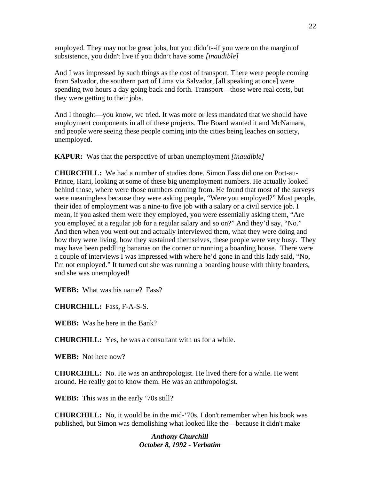employed. They may not be great jobs, but you didn't--if you were on the margin of subsistence, you didn't live if you didn't have some *[inaudible]*

And I was impressed by such things as the cost of transport. There were people coming from Salvador, the southern part of Lima via Salvador, [all speaking at once] were spending two hours a day going back and forth. Transport—those were real costs, but they were getting to their jobs.

And I thought—you know, we tried. It was more or less mandated that we should have employment components in all of these projects. The Board wanted it and McNamara, and people were seeing these people coming into the cities being leaches on society, unemployed.

**KAPUR:** Was that the perspective of urban unemployment *[inaudible]*

**CHURCHILL:** We had a number of studies done. Simon Fass did one on Port-au-Prince, Haiti, looking at some of these big unemployment numbers. He actually looked behind those, where were those numbers coming from. He found that most of the surveys were meaningless because they were asking people, "Were you employed?" Most people, their idea of employment was a nine-to five job with a salary or a civil service job. I mean, if you asked them were they employed, you were essentially asking them, "Are you employed at a regular job for a regular salary and so on?" And they'd say, "No." And then when you went out and actually interviewed them, what they were doing and how they were living, how they sustained themselves, these people were very busy. They may have been peddling bananas on the corner or running a boarding house. There were a couple of interviews I was impressed with where he'd gone in and this lady said, "No, I'm not employed." It turned out she was running a boarding house with thirty boarders, and she was unemployed!

**WEBB:** What was his name? Fass?

**CHURCHILL:** Fass, F-A-S-S.

**WEBB:** Was he here in the Bank?

**CHURCHILL:** Yes, he was a consultant with us for a while.

**WEBB:** Not here now?

**CHURCHILL:** No. He was an anthropologist. He lived there for a while. He went around. He really got to know them. He was an anthropologist.

**WEBB:** This was in the early '70s still?

**CHURCHILL:** No, it would be in the mid-'70s. I don't remember when his book was published, but Simon was demolishing what looked like the—because it didn't make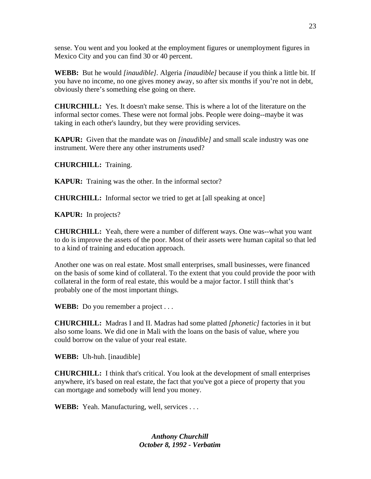sense. You went and you looked at the employment figures or unemployment figures in Mexico City and you can find 30 or 40 percent.

**WEBB:** But he would *[inaudible].* Algeria *[inaudible]* because if you think a little bit. If you have no income, no one gives money away, so after six months if you're not in debt, obviously there's something else going on there.

**CHURCHILL:** Yes. It doesn't make sense. This is where a lot of the literature on the informal sector comes. These were not formal jobs. People were doing--maybe it was taking in each other's laundry, but they were providing services.

**KAPUR:** Given that the mandate was on *[inaudible]* and small scale industry was one instrument. Were there any other instruments used?

**CHURCHILL:** Training.

**KAPUR:** Training was the other. In the informal sector?

**CHURCHILL:** Informal sector we tried to get at [all speaking at once]

**KAPUR:** In projects?

**CHURCHILL:** Yeah, there were a number of different ways. One was--what you want to do is improve the assets of the poor. Most of their assets were human capital so that led to a kind of training and education approach.

Another one was on real estate. Most small enterprises, small businesses, were financed on the basis of some kind of collateral. To the extent that you could provide the poor with collateral in the form of real estate, this would be a major factor. I still think that's probably one of the most important things.

**WEBB:** Do you remember a project . . .

**CHURCHILL:** Madras I and II. Madras had some platted *[phonetic]* factories in it but also some loans. We did one in Mali with the loans on the basis of value, where you could borrow on the value of your real estate.

**WEBB:** Uh-huh. [inaudible]

**CHURCHILL:** I think that's critical. You look at the development of small enterprises anywhere, it's based on real estate, the fact that you've got a piece of property that you can mortgage and somebody will lend you money.

**WEBB:** Yeah. Manufacturing, well, services . . .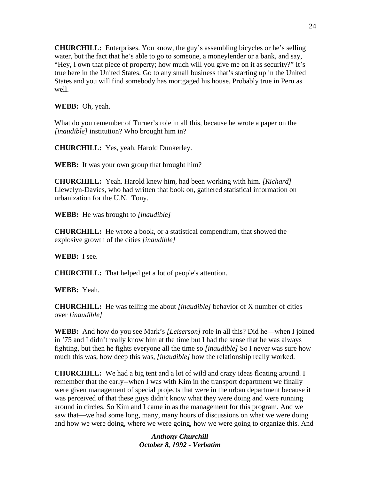**CHURCHILL:** Enterprises. You know, the guy's assembling bicycles or he's selling water, but the fact that he's able to go to someone, a moneylender or a bank, and say, "Hey, I own that piece of property; how much will you give me on it as security?" It's true here in the United States. Go to any small business that's starting up in the United States and you will find somebody has mortgaged his house. Probably true in Peru as well.

**WEBB:** Oh, yeah.

What do you remember of Turner's role in all this, because he wrote a paper on the *[inaudible]* institution? Who brought him in?

**CHURCHILL:** Yes, yeah. Harold Dunkerley.

**WEBB:** It was your own group that brought him?

**CHURCHILL:** Yeah. Harold knew him, had been working with him. *[Richard]*  Llewelyn-Davies, who had written that book on, gathered statistical information on urbanization for the U.N. Tony.

**WEBB:** He was brought to *[inaudible]*

**CHURCHILL:** He wrote a book, or a statistical compendium, that showed the explosive growth of the cities *[inaudible]*

**WEBB:** I see.

**CHURCHILL:** That helped get a lot of people's attention.

**WEBB:** Yeah.

**CHURCHILL:** He was telling me about *[inaudible]* behavior of X number of cities over *[inaudible]* 

**WEBB:** And how do you see Mark's *[Leiserson]* role in all this? Did he—when I joined in '75 and I didn't really know him at the time but I had the sense that he was always fighting, but then he fights everyone all the time so *[inaudible]* So I never was sure how much this was, how deep this was, *[inaudible]* how the relationship really worked.

**CHURCHILL:** We had a big tent and a lot of wild and crazy ideas floating around. I remember that the early--when I was with Kim in the transport department we finally were given management of special projects that were in the urban department because it was perceived of that these guys didn't know what they were doing and were running around in circles. So Kim and I came in as the management for this program. And we saw that—we had some long, many, many hours of discussions on what we were doing and how we were doing, where we were going, how we were going to organize this. And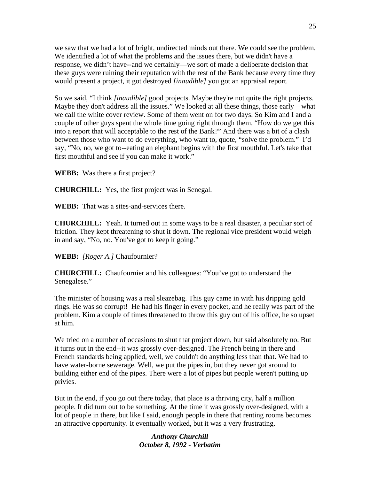we saw that we had a lot of bright, undirected minds out there. We could see the problem. We identified a lot of what the problems and the issues there, but we didn't have a response, we didn't have--and we certainly—we sort of made a deliberate decision that these guys were ruining their reputation with the rest of the Bank because every time they would present a project, it got destroyed *[inaudible]* you got an appraisal report.

So we said, "I think *[inaudible]* good projects. Maybe they're not quite the right projects. Maybe they don't address all the issues." We looked at all these things, those early—what we call the white cover review. Some of them went on for two days. So Kim and I and a couple of other guys spent the whole time going right through them. "How do we get this into a report that will acceptable to the rest of the Bank?" And there was a bit of a clash between those who want to do everything, who want to, quote, "solve the problem." I'd say, "No, no, we got to--eating an elephant begins with the first mouthful. Let's take that first mouthful and see if you can make it work."

**WEBB:** Was there a first project?

**CHURCHILL:** Yes, the first project was in Senegal.

**WEBB:** That was a sites-and-services there.

**CHURCHILL:** Yeah. It turned out in some ways to be a real disaster, a peculiar sort of friction. They kept threatening to shut it down. The regional vice president would weigh in and say, "No, no. You've got to keep it going."

**WEBB:** *[Roger A.]* Chaufournier?

**CHURCHILL:** Chaufournier and his colleagues: "You've got to understand the Senegalese."

The minister of housing was a real sleazebag. This guy came in with his dripping gold rings. He was so corrupt! He had his finger in every pocket, and he really was part of the problem. Kim a couple of times threatened to throw this guy out of his office, he so upset at him.

We tried on a number of occasions to shut that project down, but said absolutely no. But it turns out in the end--it was grossly over-designed. The French being in there and French standards being applied, well, we couldn't do anything less than that. We had to have water-borne sewerage. Well, we put the pipes in, but they never got around to building either end of the pipes. There were a lot of pipes but people weren't putting up privies.

But in the end, if you go out there today, that place is a thriving city, half a million people. It did turn out to be something. At the time it was grossly over-designed, with a lot of people in there, but like I said, enough people in there that renting rooms becomes an attractive opportunity. It eventually worked, but it was a very frustrating.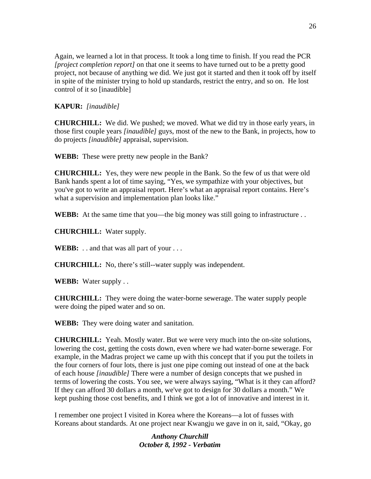Again, we learned a lot in that process. It took a long time to finish. If you read the PCR *[project completion report]* on that one it seems to have turned out to be a pretty good project, not because of anything we did. We just got it started and then it took off by itself in spite of the minister trying to hold up standards, restrict the entry, and so on. He lost control of it so [inaudible]

## **KAPUR:** *[inaudible]*

**CHURCHILL:** We did. We pushed; we moved. What we did try in those early years, in those first couple years *[inaudible]* guys, most of the new to the Bank, in projects, how to do projects *[inaudible]* appraisal, supervision.

**WEBB:** These were pretty new people in the Bank?

**CHURCHILL:** Yes, they were new people in the Bank. So the few of us that were old Bank hands spent a lot of time saying, "Yes, we sympathize with your objectives, but you've got to write an appraisal report. Here's what an appraisal report contains. Here's what a supervision and implementation plan looks like."

**WEBB:** At the same time that you—the big money was still going to infrastructure . .

**CHURCHILL:** Water supply.

**WEBB:** . . and that was all part of your . . .

**CHURCHILL:** No, there's still--water supply was independent.

**WEBB:** Water supply . .

**CHURCHILL:** They were doing the water-borne sewerage. The water supply people were doing the piped water and so on.

**WEBB:** They were doing water and sanitation.

**CHURCHILL:** Yeah. Mostly water. But we were very much into the on-site solutions, lowering the cost, getting the costs down, even where we had water-borne sewerage. For example, in the Madras project we came up with this concept that if you put the toilets in the four corners of four lots, there is just one pipe coming out instead of one at the back of each house *[inaudible]* There were a number of design concepts that we pushed in terms of lowering the costs. You see, we were always saying, "What is it they can afford? If they can afford 30 dollars a month, we've got to design for 30 dollars a month." We kept pushing those cost benefits, and I think we got a lot of innovative and interest in it.

I remember one project I visited in Korea where the Koreans—a lot of fusses with Koreans about standards. At one project near Kwangju we gave in on it, said, "Okay, go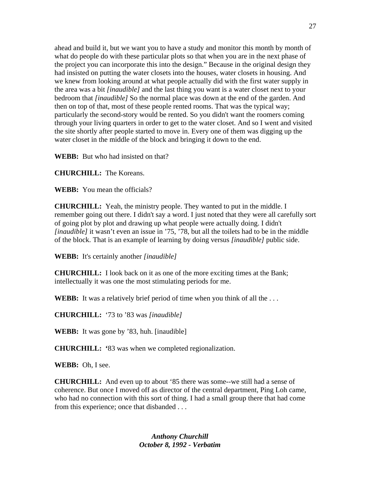ahead and build it, but we want you to have a study and monitor this month by month of what do people do with these particular plots so that when you are in the next phase of the project you can incorporate this into the design." Because in the original design they had insisted on putting the water closets into the houses, water closets in housing. And we knew from looking around at what people actually did with the first water supply in the area was a bit *[inaudible]* and the last thing you want is a water closet next to your bedroom that *[inaudible]* So the normal place was down at the end of the garden. And then on top of that, most of these people rented rooms. That was the typical way; particularly the second-story would be rented. So you didn't want the roomers coming through your living quarters in order to get to the water closet. And so I went and visited the site shortly after people started to move in. Every one of them was digging up the water closet in the middle of the block and bringing it down to the end.

**WEBB:** But who had insisted on that?

**CHURCHILL:** The Koreans.

**WEBB:** You mean the officials?

**CHURCHILL:** Yeah, the ministry people. They wanted to put in the middle. I remember going out there. I didn't say a word. I just noted that they were all carefully sort of going plot by plot and drawing up what people were actually doing. I didn't *[inaudible]* it wasn't even an issue in '75, '78, but all the toilets had to be in the middle of the block. That is an example of learning by doing versus *[inaudible]* public side.

**WEBB:** It's certainly another *[inaudible]*

**CHURCHILL:** I look back on it as one of the more exciting times at the Bank; intellectually it was one the most stimulating periods for me.

**WEBB:** It was a relatively brief period of time when you think of all the . . .

**CHURCHILL:** '73 to '83 was *[inaudible]*

**WEBB:** It was gone by '83, huh. [inaudible]

**CHURCHILL: '**83 was when we completed regionalization.

**WEBB:** Oh, I see.

**CHURCHILL:** And even up to about '85 there was some--we still had a sense of coherence. But once I moved off as director of the central department, Ping Loh came, who had no connection with this sort of thing. I had a small group there that had come from this experience; once that disbanded . . .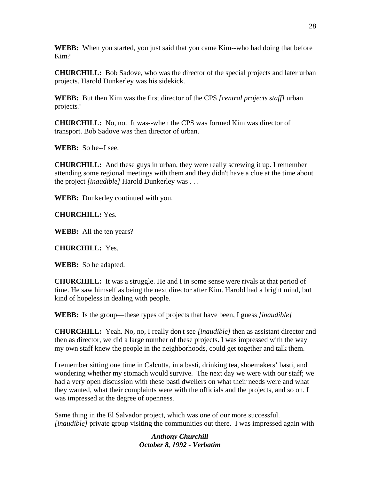**WEBB:** When you started, you just said that you came Kim--who had doing that before Kim?

**CHURCHILL:** Bob Sadove, who was the director of the special projects and later urban projects. Harold Dunkerley was his sidekick.

**WEBB:** But then Kim was the first director of the CPS *[central projects staff]* urban projects?

**CHURCHILL:** No, no. It was--when the CPS was formed Kim was director of transport. Bob Sadove was then director of urban.

**WEBB:** So he--I see.

**CHURCHILL:** And these guys in urban, they were really screwing it up. I remember attending some regional meetings with them and they didn't have a clue at the time about the project *[inaudible]* Harold Dunkerley was . . .

**WEBB:** Dunkerley continued with you.

**CHURCHILL:** Yes.

**WEBB:** All the ten years?

**CHURCHILL:** Yes.

**WEBB:** So he adapted.

**CHURCHILL:** It was a struggle. He and I in some sense were rivals at that period of time. He saw himself as being the next director after Kim. Harold had a bright mind, but kind of hopeless in dealing with people.

**WEBB:** Is the group—these types of projects that have been, I guess *[inaudible]* 

**CHURCHILL:** Yeah. No, no, I really don't see *[inaudible]* then as assistant director and then as director, we did a large number of these projects. I was impressed with the way my own staff knew the people in the neighborhoods, could get together and talk them.

I remember sitting one time in Calcutta, in a basti, drinking tea, shoemakers' basti, and wondering whether my stomach would survive. The next day we were with our staff; we had a very open discussion with these basti dwellers on what their needs were and what they wanted, what their complaints were with the officials and the projects, and so on. I was impressed at the degree of openness.

Same thing in the El Salvador project, which was one of our more successful. *[inaudible]* private group visiting the communities out there. I was impressed again with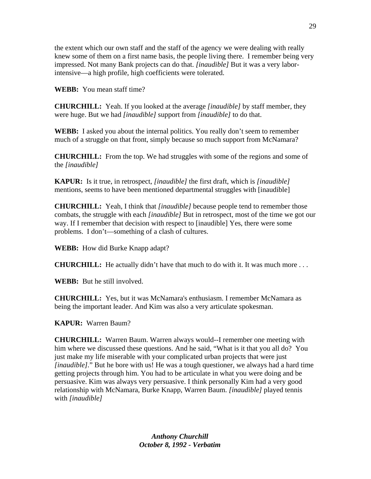the extent which our own staff and the staff of the agency we were dealing with really knew some of them on a first name basis, the people living there. I remember being very impressed. Not many Bank projects can do that. *[inaudible]* But it was a very laborintensive—a high profile, high coefficients were tolerated.

**WEBB:** You mean staff time?

**CHURCHILL:** Yeah. If you looked at the average *[inaudible]* by staff member, they were huge. But we had *[inaudible]* support from *[inaudible]* to do that.

**WEBB:** I asked you about the internal politics. You really don't seem to remember much of a struggle on that front, simply because so much support from McNamara?

**CHURCHILL:** From the top. We had struggles with some of the regions and some of the *[inaudible]*

**KAPUR:** Is it true, in retrospect, *[inaudible]* the first draft, which is *[inaudible]* mentions, seems to have been mentioned departmental struggles with [inaudible]

**CHURCHILL:** Yeah, I think that *[inaudible]* because people tend to remember those combats, the struggle with each *[inaudible]* But in retrospect, most of the time we got our way. If I remember that decision with respect to [inaudible] Yes, there were some problems. I don't—something of a clash of cultures.

**WEBB:** How did Burke Knapp adapt?

**CHURCHILL:** He actually didn't have that much to do with it. It was much more . . .

**WEBB:** But he still involved.

**CHURCHILL:** Yes, but it was McNamara's enthusiasm. I remember McNamara as being the important leader. And Kim was also a very articulate spokesman.

**KAPUR:** Warren Baum?

**CHURCHILL:** Warren Baum. Warren always would--I remember one meeting with him where we discussed these questions. And he said, "What is it that you all do? You just make my life miserable with your complicated urban projects that were just *[inaudible].*" But he bore with us! He was a tough questioner, we always had a hard time getting projects through him. You had to be articulate in what you were doing and be persuasive. Kim was always very persuasive. I think personally Kim had a very good relationship with McNamara, Burke Knapp, Warren Baum. *[inaudible]* played tennis with *[inaudible]*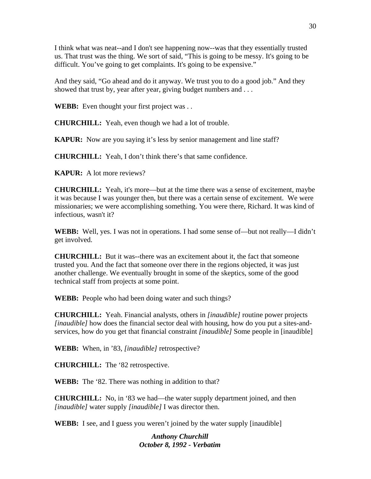I think what was neat--and I don't see happening now--was that they essentially trusted us. That trust was the thing. We sort of said, "This is going to be messy. It's going to be difficult. You've going to get complaints. It's going to be expensive."

And they said, "Go ahead and do it anyway. We trust you to do a good job." And they showed that trust by, year after year, giving budget numbers and ...

**WEBB:** Even thought your first project was . .

**CHURCHILL:** Yeah, even though we had a lot of trouble.

**KAPUR:** Now are you saying it's less by senior management and line staff?

**CHURCHILL:** Yeah, I don't think there's that same confidence.

**KAPUR:** A lot more reviews?

**CHURCHILL:** Yeah, it's more—but at the time there was a sense of excitement, maybe it was because I was younger then, but there was a certain sense of excitement. We were missionaries; we were accomplishing something. You were there, Richard. It was kind of infectious, wasn't it?

**WEBB:** Well, yes. I was not in operations. I had some sense of—but not really—I didn't get involved.

**CHURCHILL:** But it was--there was an excitement about it, the fact that someone trusted you. And the fact that someone over there in the regions objected, it was just another challenge. We eventually brought in some of the skeptics, some of the good technical staff from projects at some point.

**WEBB:** People who had been doing water and such things?

**CHURCHILL:** Yeah. Financial analysts, others in *[inaudible]* routine power projects *[inaudible]* how does the financial sector deal with housing, how do you put a sites-andservices, how do you get that financial constraint *[inaudible]* Some people in [inaudible]

**WEBB:** When, in '83, *[inaudible]* retrospective?

**CHURCHILL:** The '82 retrospective.

**WEBB:** The '82. There was nothing in addition to that?

**CHURCHILL:** No, in '83 we had—the water supply department joined, and then *[inaudible]* water supply *[inaudible]* I was director then.

**WEBB:** I see, and I guess you weren't joined by the water supply [inaudible]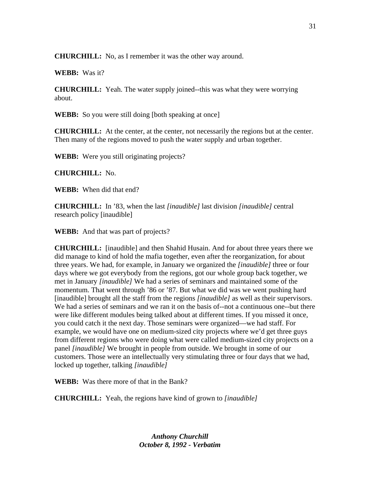**CHURCHILL:** No, as I remember it was the other way around.

**WEBB:** Was it?

**CHURCHILL:** Yeah. The water supply joined--this was what they were worrying about.

**WEBB:** So you were still doing [both speaking at once]

**CHURCHILL:** At the center, at the center, not necessarily the regions but at the center. Then many of the regions moved to push the water supply and urban together.

**WEBB:** Were you still originating projects?

**CHURCHILL:** No.

**WEBB:** When did that end?

**CHURCHILL:** In '83, when the last *[inaudible]* last division *[inaudible]* central research policy [inaudible]

**WEBB:** And that was part of projects?

**CHURCHILL:** [inaudible] and then Shahid Husain. And for about three years there we did manage to kind of hold the mafia together, even after the reorganization, for about three years. We had, for example, in January we organized the *[inaudible]* three or four days where we got everybody from the regions, got our whole group back together, we met in January *[inaudible]* We had a series of seminars and maintained some of the momentum. That went through '86 or '87. But what we did was we went pushing hard [inaudible] brought all the staff from the regions *[inaudible]* as well as their supervisors. We had a series of seminars and we ran it on the basis of--not a continuous one--but there were like different modules being talked about at different times. If you missed it once, you could catch it the next day. Those seminars were organized—we had staff. For example, we would have one on medium-sized city projects where we'd get three guys from different regions who were doing what were called medium-sized city projects on a panel *[inaudible]* We brought in people from outside. We brought in some of our customers. Those were an intellectually very stimulating three or four days that we had, locked up together, talking *[inaudible]*

**WEBB:** Was there more of that in the Bank?

**CHURCHILL:** Yeah, the regions have kind of grown to *[inaudible]*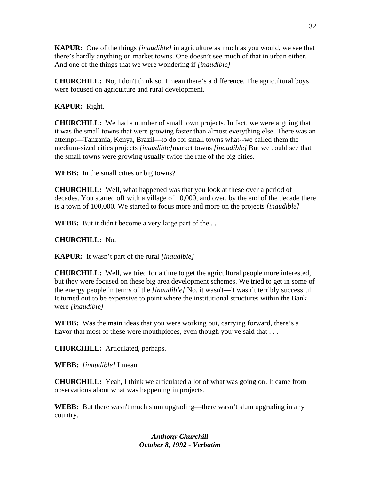**KAPUR:** One of the things *[inaudible]* in agriculture as much as you would, we see that there's hardly anything on market towns. One doesn't see much of that in urban either. And one of the things that we were wondering if *[inaudible]*

**CHURCHILL:** No, I don't think so. I mean there's a difference. The agricultural boys were focused on agriculture and rural development.

**KAPUR:** Right.

**CHURCHILL:** We had a number of small town projects. In fact, we were arguing that it was the small towns that were growing faster than almost everything else. There was an attempt—Tanzania, Kenya, Brazil—to do for small towns what--we called them the medium-sized cities projects *[inaudible]*market towns *[inaudible]* But we could see that the small towns were growing usually twice the rate of the big cities.

**WEBB:** In the small cities or big towns?

**CHURCHILL:** Well, what happened was that you look at these over a period of decades. You started off with a village of 10,000, and over, by the end of the decade there is a town of 100,000. We started to focus more and more on the projects *[inaudible]*

**WEBB:** But it didn't become a very large part of the ...

**CHURCHILL:** No.

**KAPUR:** It wasn't part of the rural *[inaudible]*

**CHURCHILL:** Well, we tried for a time to get the agricultural people more interested, but they were focused on these big area development schemes. We tried to get in some of the energy people in terms of the *[inaudible]* No, it wasn't—it wasn't terribly successful. It turned out to be expensive to point where the institutional structures within the Bank were *[inaudible]*

**WEBB:** Was the main ideas that you were working out, carrying forward, there's a flavor that most of these were mouthpieces, even though you've said that ...

**CHURCHILL:** Articulated, perhaps.

**WEBB:** *[inaudible]* I mean.

**CHURCHILL:** Yeah, I think we articulated a lot of what was going on. It came from observations about what was happening in projects.

**WEBB:** But there wasn't much slum upgrading—there wasn't slum upgrading in any country.